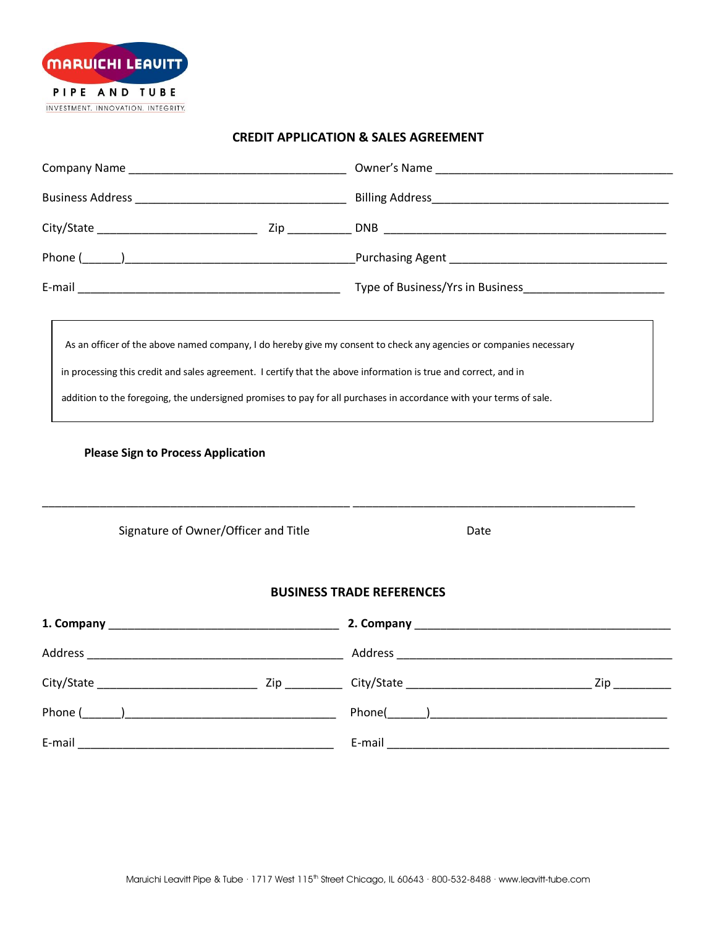

## **CREDIT APPLICATION & SALES AGREEMENT**

| <b>Please Sign to Process Application</b><br>Signature of Owner/Officer and Title |  | As an officer of the above named company, I do hereby give my consent to check any agencies or companies necessary<br>in processing this credit and sales agreement. I certify that the above information is true and correct, and in<br>addition to the foregoing, the undersigned promises to pay for all purchases in accordance with your terms of sale.<br><u> 1990 - John Amerikaans van die Stadt van die Stadt van die Stadt van die Stadt van die Stadt van die Stadt va</u><br>Date |  |  |  |
|-----------------------------------------------------------------------------------|--|-----------------------------------------------------------------------------------------------------------------------------------------------------------------------------------------------------------------------------------------------------------------------------------------------------------------------------------------------------------------------------------------------------------------------------------------------------------------------------------------------|--|--|--|
|                                                                                   |  |                                                                                                                                                                                                                                                                                                                                                                                                                                                                                               |  |  |  |
| <b>BUSINESS TRADE REFERENCES</b>                                                  |  |                                                                                                                                                                                                                                                                                                                                                                                                                                                                                               |  |  |  |
|                                                                                   |  |                                                                                                                                                                                                                                                                                                                                                                                                                                                                                               |  |  |  |
|                                                                                   |  |                                                                                                                                                                                                                                                                                                                                                                                                                                                                                               |  |  |  |
|                                                                                   |  |                                                                                                                                                                                                                                                                                                                                                                                                                                                                                               |  |  |  |
|                                                                                   |  |                                                                                                                                                                                                                                                                                                                                                                                                                                                                                               |  |  |  |
| E-mail                                                                            |  | E-mail                                                                                                                                                                                                                                                                                                                                                                                                                                                                                        |  |  |  |